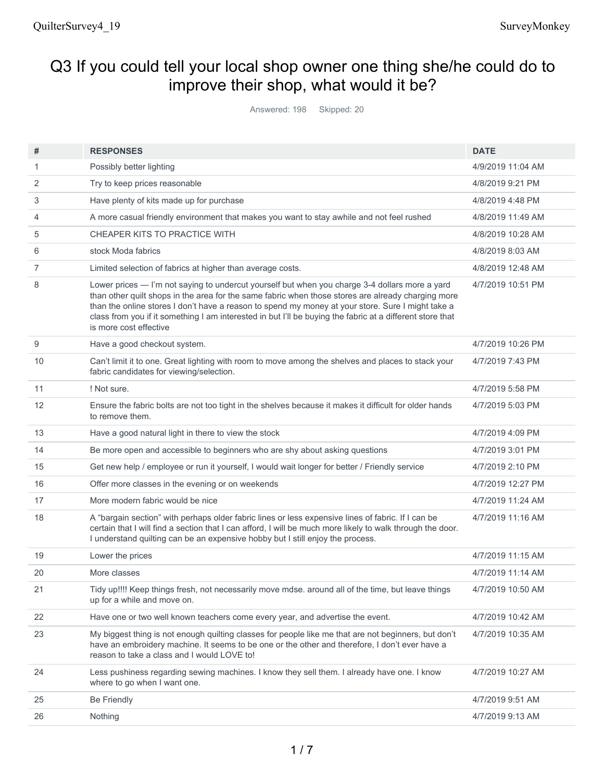# Q3 If you could tell your local shop owner one thing she/he could do to improve their shop, what would it be?

Answered: 198 Skipped: 20

| #              | <b>RESPONSES</b>                                                                                                                                                                                                                                                                                                                                                                                                                                 | <b>DATE</b>       |
|----------------|--------------------------------------------------------------------------------------------------------------------------------------------------------------------------------------------------------------------------------------------------------------------------------------------------------------------------------------------------------------------------------------------------------------------------------------------------|-------------------|
| 1              | Possibly better lighting                                                                                                                                                                                                                                                                                                                                                                                                                         | 4/9/2019 11:04 AM |
| 2              | Try to keep prices reasonable                                                                                                                                                                                                                                                                                                                                                                                                                    | 4/8/2019 9:21 PM  |
| 3              | Have plenty of kits made up for purchase                                                                                                                                                                                                                                                                                                                                                                                                         | 4/8/2019 4:48 PM  |
| 4              | A more casual friendly environment that makes you want to stay awhile and not feel rushed                                                                                                                                                                                                                                                                                                                                                        | 4/8/2019 11:49 AM |
| 5              | CHEAPER KITS TO PRACTICE WITH                                                                                                                                                                                                                                                                                                                                                                                                                    | 4/8/2019 10:28 AM |
| 6              | stock Moda fabrics                                                                                                                                                                                                                                                                                                                                                                                                                               | 4/8/2019 8:03 AM  |
| $\overline{7}$ | Limited selection of fabrics at higher than average costs.                                                                                                                                                                                                                                                                                                                                                                                       | 4/8/2019 12:48 AM |
| 8              | Lower prices - I'm not saying to undercut yourself but when you charge 3-4 dollars more a yard<br>than other quilt shops in the area for the same fabric when those stores are already charging more<br>than the online stores I don't have a reason to spend my money at your store. Sure I might take a<br>class from you if it something I am interested in but I'll be buying the fabric at a different store that<br>is more cost effective | 4/7/2019 10:51 PM |
| 9              | Have a good checkout system.                                                                                                                                                                                                                                                                                                                                                                                                                     | 4/7/2019 10:26 PM |
| 10             | Can't limit it to one. Great lighting with room to move among the shelves and places to stack your<br>fabric candidates for viewing/selection.                                                                                                                                                                                                                                                                                                   | 4/7/2019 7:43 PM  |
| 11             | ! Not sure.                                                                                                                                                                                                                                                                                                                                                                                                                                      | 4/7/2019 5:58 PM  |
| 12             | Ensure the fabric bolts are not too tight in the shelves because it makes it difficult for older hands<br>to remove them.                                                                                                                                                                                                                                                                                                                        | 4/7/2019 5:03 PM  |
| 13             | Have a good natural light in there to view the stock                                                                                                                                                                                                                                                                                                                                                                                             | 4/7/2019 4:09 PM  |
| 14             | Be more open and accessible to beginners who are shy about asking questions                                                                                                                                                                                                                                                                                                                                                                      | 4/7/2019 3:01 PM  |
| 15             | Get new help / employee or run it yourself, I would wait longer for better / Friendly service                                                                                                                                                                                                                                                                                                                                                    | 4/7/2019 2:10 PM  |
| 16             | Offer more classes in the evening or on weekends                                                                                                                                                                                                                                                                                                                                                                                                 | 4/7/2019 12:27 PM |
| 17             | More modern fabric would be nice                                                                                                                                                                                                                                                                                                                                                                                                                 | 4/7/2019 11:24 AM |
| 18             | A "bargain section" with perhaps older fabric lines or less expensive lines of fabric. If I can be<br>certain that I will find a section that I can afford, I will be much more likely to walk through the door.<br>I understand quilting can be an expensive hobby but I still enjoy the process.                                                                                                                                               | 4/7/2019 11:16 AM |
| 19             | Lower the prices                                                                                                                                                                                                                                                                                                                                                                                                                                 | 4/7/2019 11:15 AM |
| 20             | More classes                                                                                                                                                                                                                                                                                                                                                                                                                                     | 4/7/2019 11:14 AM |
| 21             | Tidy up!!!! Keep things fresh, not necessarily move mdse. around all of the time, but leave things<br>up for a while and move on.                                                                                                                                                                                                                                                                                                                | 4/7/2019 10:50 AM |
| 22             | Have one or two well known teachers come every year, and advertise the event.                                                                                                                                                                                                                                                                                                                                                                    | 4/7/2019 10:42 AM |
| 23             | My biggest thing is not enough quilting classes for people like me that are not beginners, but don't<br>have an embroidery machine. It seems to be one or the other and therefore, I don't ever have a<br>reason to take a class and I would LOVE to!                                                                                                                                                                                            | 4/7/2019 10:35 AM |
| 24             | Less pushiness regarding sewing machines. I know they sell them. I already have one. I know<br>where to go when I want one.                                                                                                                                                                                                                                                                                                                      | 4/7/2019 10:27 AM |
| 25             | <b>Be Friendly</b>                                                                                                                                                                                                                                                                                                                                                                                                                               | 4/7/2019 9:51 AM  |
| 26             | Nothing                                                                                                                                                                                                                                                                                                                                                                                                                                          | 4/7/2019 9:13 AM  |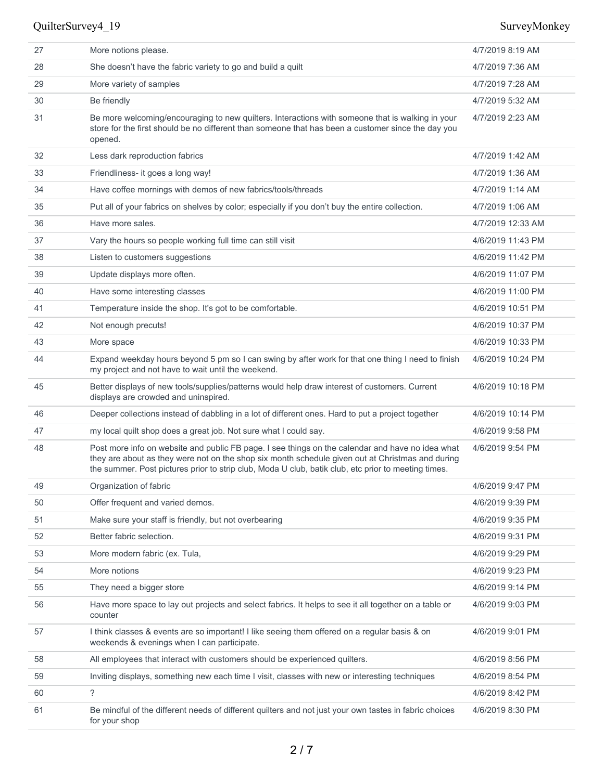| 27 | More notions please.                                                                                                                                                                                                                                                                                        | 4/7/2019 8:19 AM  |
|----|-------------------------------------------------------------------------------------------------------------------------------------------------------------------------------------------------------------------------------------------------------------------------------------------------------------|-------------------|
| 28 | She doesn't have the fabric variety to go and build a quilt                                                                                                                                                                                                                                                 | 4/7/2019 7:36 AM  |
| 29 | More variety of samples                                                                                                                                                                                                                                                                                     | 4/7/2019 7:28 AM  |
| 30 | Be friendly                                                                                                                                                                                                                                                                                                 | 4/7/2019 5:32 AM  |
| 31 | Be more welcoming/encouraging to new quilters. Interactions with someone that is walking in your<br>store for the first should be no different than someone that has been a customer since the day you<br>opened.                                                                                           | 4/7/2019 2:23 AM  |
| 32 | Less dark reproduction fabrics                                                                                                                                                                                                                                                                              | 4/7/2019 1:42 AM  |
| 33 | Friendliness- it goes a long way!                                                                                                                                                                                                                                                                           | 4/7/2019 1:36 AM  |
| 34 | Have coffee mornings with demos of new fabrics/tools/threads                                                                                                                                                                                                                                                | 4/7/2019 1:14 AM  |
| 35 | Put all of your fabrics on shelves by color; especially if you don't buy the entire collection.                                                                                                                                                                                                             | 4/7/2019 1:06 AM  |
| 36 | Have more sales.                                                                                                                                                                                                                                                                                            | 4/7/2019 12:33 AM |
| 37 | Vary the hours so people working full time can still visit                                                                                                                                                                                                                                                  | 4/6/2019 11:43 PM |
| 38 | Listen to customers suggestions                                                                                                                                                                                                                                                                             | 4/6/2019 11:42 PM |
| 39 | Update displays more often.                                                                                                                                                                                                                                                                                 | 4/6/2019 11:07 PM |
| 40 | Have some interesting classes                                                                                                                                                                                                                                                                               | 4/6/2019 11:00 PM |
| 41 | Temperature inside the shop. It's got to be comfortable.                                                                                                                                                                                                                                                    | 4/6/2019 10:51 PM |
| 42 | Not enough precuts!                                                                                                                                                                                                                                                                                         | 4/6/2019 10:37 PM |
| 43 | More space                                                                                                                                                                                                                                                                                                  | 4/6/2019 10:33 PM |
| 44 | Expand weekday hours beyond 5 pm so I can swing by after work for that one thing I need to finish<br>my project and not have to wait until the weekend.                                                                                                                                                     | 4/6/2019 10:24 PM |
| 45 | Better displays of new tools/supplies/patterns would help draw interest of customers. Current<br>displays are crowded and uninspired.                                                                                                                                                                       | 4/6/2019 10:18 PM |
| 46 | Deeper collections instead of dabbling in a lot of different ones. Hard to put a project together                                                                                                                                                                                                           | 4/6/2019 10:14 PM |
| 47 | my local quilt shop does a great job. Not sure what I could say.                                                                                                                                                                                                                                            | 4/6/2019 9:58 PM  |
| 48 | Post more info on website and public FB page. I see things on the calendar and have no idea what<br>they are about as they were not on the shop six month schedule given out at Christmas and during<br>the summer. Post pictures prior to strip club, Moda U club, batik club, etc prior to meeting times. | 4/6/2019 9:54 PM  |
| 49 | Organization of fabric                                                                                                                                                                                                                                                                                      | 4/6/2019 9:47 PM  |
| 50 | Offer frequent and varied demos.                                                                                                                                                                                                                                                                            | 4/6/2019 9:39 PM  |
| 51 | Make sure your staff is friendly, but not overbearing                                                                                                                                                                                                                                                       | 4/6/2019 9:35 PM  |
| 52 | Better fabric selection.                                                                                                                                                                                                                                                                                    | 4/6/2019 9:31 PM  |
| 53 | More modern fabric (ex. Tula,                                                                                                                                                                                                                                                                               | 4/6/2019 9:29 PM  |
| 54 | More notions                                                                                                                                                                                                                                                                                                | 4/6/2019 9:23 PM  |
| 55 | They need a bigger store                                                                                                                                                                                                                                                                                    | 4/6/2019 9:14 PM  |
| 56 | Have more space to lay out projects and select fabrics. It helps to see it all together on a table or<br>counter                                                                                                                                                                                            | 4/6/2019 9:03 PM  |
| 57 | I think classes & events are so important! I like seeing them offered on a regular basis & on<br>weekends & evenings when I can participate.                                                                                                                                                                | 4/6/2019 9:01 PM  |
| 58 | All employees that interact with customers should be experienced quilters.                                                                                                                                                                                                                                  | 4/6/2019 8:56 PM  |
| 59 | Inviting displays, something new each time I visit, classes with new or interesting techniques                                                                                                                                                                                                              | 4/6/2019 8:54 PM  |
| 60 | ?                                                                                                                                                                                                                                                                                                           | 4/6/2019 8:42 PM  |
| 61 | Be mindful of the different needs of different quilters and not just your own tastes in fabric choices<br>for your shop                                                                                                                                                                                     | 4/6/2019 8:30 PM  |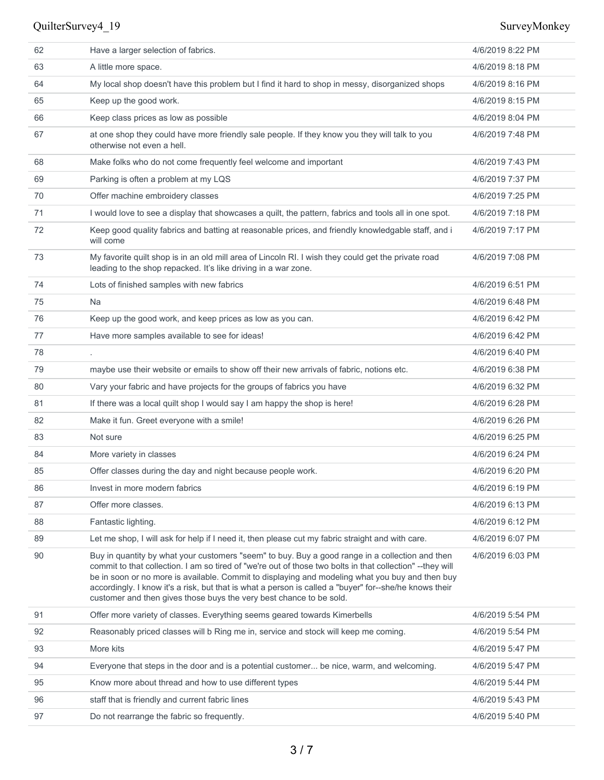| 62 | Have a larger selection of fabrics.                                                                                                                                                                                                                                                                                                                                                                                                                                                               | 4/6/2019 8:22 PM |
|----|---------------------------------------------------------------------------------------------------------------------------------------------------------------------------------------------------------------------------------------------------------------------------------------------------------------------------------------------------------------------------------------------------------------------------------------------------------------------------------------------------|------------------|
| 63 | A little more space.                                                                                                                                                                                                                                                                                                                                                                                                                                                                              | 4/6/2019 8:18 PM |
| 64 | My local shop doesn't have this problem but I find it hard to shop in messy, disorganized shops                                                                                                                                                                                                                                                                                                                                                                                                   | 4/6/2019 8:16 PM |
| 65 | Keep up the good work.                                                                                                                                                                                                                                                                                                                                                                                                                                                                            | 4/6/2019 8:15 PM |
| 66 | Keep class prices as low as possible                                                                                                                                                                                                                                                                                                                                                                                                                                                              | 4/6/2019 8:04 PM |
| 67 | at one shop they could have more friendly sale people. If they know you they will talk to you<br>otherwise not even a hell.                                                                                                                                                                                                                                                                                                                                                                       | 4/6/2019 7:48 PM |
| 68 | Make folks who do not come frequently feel welcome and important                                                                                                                                                                                                                                                                                                                                                                                                                                  | 4/6/2019 7:43 PM |
| 69 | Parking is often a problem at my LQS                                                                                                                                                                                                                                                                                                                                                                                                                                                              | 4/6/2019 7:37 PM |
| 70 | Offer machine embroidery classes                                                                                                                                                                                                                                                                                                                                                                                                                                                                  | 4/6/2019 7:25 PM |
| 71 | I would love to see a display that showcases a quilt, the pattern, fabrics and tools all in one spot.                                                                                                                                                                                                                                                                                                                                                                                             | 4/6/2019 7:18 PM |
| 72 | Keep good quality fabrics and batting at reasonable prices, and friendly knowledgable staff, and i<br>will come                                                                                                                                                                                                                                                                                                                                                                                   | 4/6/2019 7:17 PM |
| 73 | My favorite quilt shop is in an old mill area of Lincoln RI. I wish they could get the private road<br>leading to the shop repacked. It's like driving in a war zone.                                                                                                                                                                                                                                                                                                                             | 4/6/2019 7:08 PM |
| 74 | Lots of finished samples with new fabrics                                                                                                                                                                                                                                                                                                                                                                                                                                                         | 4/6/2019 6:51 PM |
| 75 | Na                                                                                                                                                                                                                                                                                                                                                                                                                                                                                                | 4/6/2019 6:48 PM |
| 76 | Keep up the good work, and keep prices as low as you can.                                                                                                                                                                                                                                                                                                                                                                                                                                         | 4/6/2019 6:42 PM |
| 77 | Have more samples available to see for ideas!                                                                                                                                                                                                                                                                                                                                                                                                                                                     | 4/6/2019 6:42 PM |
| 78 |                                                                                                                                                                                                                                                                                                                                                                                                                                                                                                   | 4/6/2019 6:40 PM |
| 79 | maybe use their website or emails to show off their new arrivals of fabric, notions etc.                                                                                                                                                                                                                                                                                                                                                                                                          | 4/6/2019 6:38 PM |
| 80 | Vary your fabric and have projects for the groups of fabrics you have                                                                                                                                                                                                                                                                                                                                                                                                                             | 4/6/2019 6:32 PM |
| 81 | If there was a local quilt shop I would say I am happy the shop is here!                                                                                                                                                                                                                                                                                                                                                                                                                          | 4/6/2019 6:28 PM |
| 82 | Make it fun. Greet everyone with a smile!                                                                                                                                                                                                                                                                                                                                                                                                                                                         | 4/6/2019 6:26 PM |
| 83 | Not sure                                                                                                                                                                                                                                                                                                                                                                                                                                                                                          | 4/6/2019 6:25 PM |
| 84 | More variety in classes                                                                                                                                                                                                                                                                                                                                                                                                                                                                           | 4/6/2019 6:24 PM |
| 85 | Offer classes during the day and night because people work.                                                                                                                                                                                                                                                                                                                                                                                                                                       | 4/6/2019 6:20 PM |
| 86 | Invest in more modern fabrics                                                                                                                                                                                                                                                                                                                                                                                                                                                                     | 4/6/2019 6:19 PM |
| 87 | Offer more classes.                                                                                                                                                                                                                                                                                                                                                                                                                                                                               | 4/6/2019 6:13 PM |
| 88 | Fantastic lighting.                                                                                                                                                                                                                                                                                                                                                                                                                                                                               | 4/6/2019 6:12 PM |
| 89 | Let me shop, I will ask for help if I need it, then please cut my fabric straight and with care.                                                                                                                                                                                                                                                                                                                                                                                                  | 4/6/2019 6:07 PM |
| 90 | Buy in quantity by what your customers "seem" to buy. Buy a good range in a collection and then<br>commit to that collection. I am so tired of "we're out of those two bolts in that collection" -- they will<br>be in soon or no more is available. Commit to displaying and modeling what you buy and then buy<br>accordingly. I know it's a risk, but that is what a person is called a "buyer" for--she/he knows their<br>customer and then gives those buys the very best chance to be sold. | 4/6/2019 6:03 PM |
| 91 | Offer more variety of classes. Everything seems geared towards Kimerbells                                                                                                                                                                                                                                                                                                                                                                                                                         | 4/6/2019 5:54 PM |
| 92 | Reasonably priced classes will b Ring me in, service and stock will keep me coming.                                                                                                                                                                                                                                                                                                                                                                                                               | 4/6/2019 5:54 PM |
| 93 | More kits                                                                                                                                                                                                                                                                                                                                                                                                                                                                                         | 4/6/2019 5:47 PM |
| 94 | Everyone that steps in the door and is a potential customer be nice, warm, and welcoming.                                                                                                                                                                                                                                                                                                                                                                                                         | 4/6/2019 5:47 PM |
| 95 | Know more about thread and how to use different types                                                                                                                                                                                                                                                                                                                                                                                                                                             | 4/6/2019 5:44 PM |
| 96 | staff that is friendly and current fabric lines                                                                                                                                                                                                                                                                                                                                                                                                                                                   | 4/6/2019 5:43 PM |
| 97 | Do not rearrange the fabric so frequently.                                                                                                                                                                                                                                                                                                                                                                                                                                                        | 4/6/2019 5:40 PM |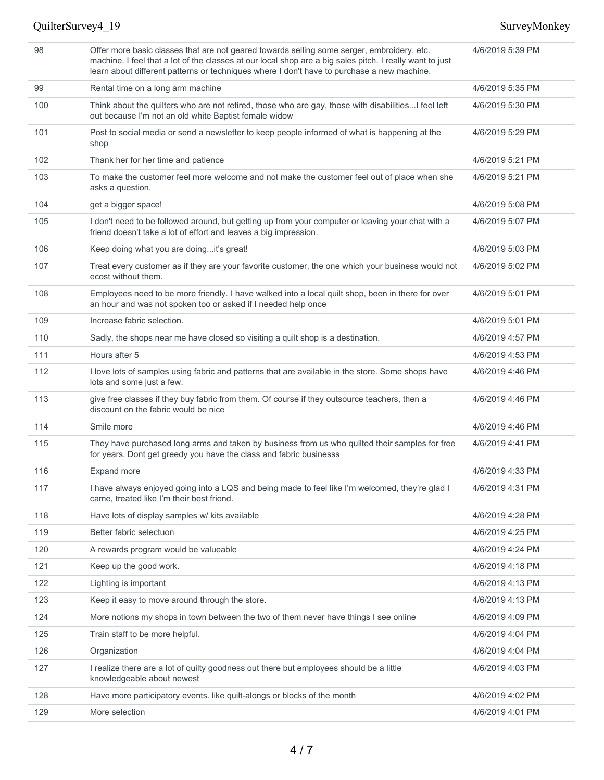### 98 Offer more basic classes that are not geared towards selling some serger, embroidery, etc. machine. I feel that a lot of the classes at our local shop are a big sales pitch. I really want to just learn about different patterns or techniques where I don't have to purchase a new machine. 4/6/2019 5:39 PM 99 Rental time on a long arm machine 4/6/2019 5:35 PM 100 Think about the quilters who are not retired, those who are gay, those with disabilities...I feel left out because I'm not an old white Baptist female widow 4/6/2019 5:30 PM 101 Post to social media or send a newsletter to keep people informed of what is happening at the shop 4/6/2019 5:29 PM 102 Thank her for her time and patience 10 The 100 CH is a state 4/6/2019 5:21 PM 103 To make the customer feel more welcome and not make the customer feel out of place when she asks a question. 4/6/2019 5:21 PM 104 get a bigger space! 4/6/2019 5:08 PM 105 I don't need to be followed around, but getting up from your computer or leaving your chat with a friend doesn't take a lot of effort and leaves a big impression. 4/6/2019 5:07 PM 106 Keep doing what you are doing...it's great! 4/6/2019 5:03 PM 107 Treat every customer as if they are your favorite customer, the one which your business would not ecost without them. 4/6/2019 5:02 PM 108 Employees need to be more friendly. I have walked into a local quilt shop, been in there for over an hour and was not spoken too or asked if I needed help once 4/6/2019 5:01 PM 109 Increase fabric selection. 4/6/2019 5:01 PM 110 Sadly, the shops near me have closed so visiting a quilt shop is a destination. 416/2019 4:57 PM 111 Hours after 5 **4/6/2019** 4:53 PM 112 I love lots of samples using fabric and patterns that are available in the store. Some shops have lots and some just a few. 4/6/2019 4:46 PM 113 give free classes if they buy fabric from them. Of course if they outsource teachers, then a discount on the fabric would be nice 4/6/2019 4:46 PM 114 Smile more 4/6/2019 4:46 PM 115 They have purchased long arms and taken by business from us who quilted their samples for free for years. Dont get greedy you have the class and fabric businesss 4/6/2019 4:41 PM 116 Expand more 4/6/2019 4:33 PM 117 I have always enjoyed going into a LQS and being made to feel like I'm welcomed, they're glad I came, treated like I'm their best friend. 4/6/2019 4:31 PM 118 Have lots of display samples w/ kits available 4/6/2019 4:28 PM 119 Better fabric selectuon 4/6/2019 4:25 PM 120 A rewards program would be valueable 4/6/2019 4:24 PM 121 Keep up the good work. **Alternative Structure 121** Alternative Material Alternative Material Alternative Material Alternative Material Alternative Material Alternative Material Alternative Material Alternative Material 122 Lighting is important 4/6/2019 4:13 PM 123 Keep it easy to move around through the store. 4/6/2019 4:13 PM 124 More notions my shops in town between the two of them never have things I see online 4/6/2019 4:09 PM 125 Train staff to be more helpful. The matrix of the matrix of the matrix of the 4/6/2019 4:04 PM 126 Organization 4/6/2019 4:04 PM 127 I realize there are a lot of quilty goodness out there but employees should be a little knowledgeable about newest 4/6/2019 4:03 PM 128 Have more participatory events. like quilt-alongs or blocks of the month 4/6/2019 4:02 PM 129 More selection **Alternative Contract Contract Contract Contract Contract Contract Contract Contract Contract Contract Contract Contract Contract Contract Contract Contract Contract Contract Contract Contract Contract C**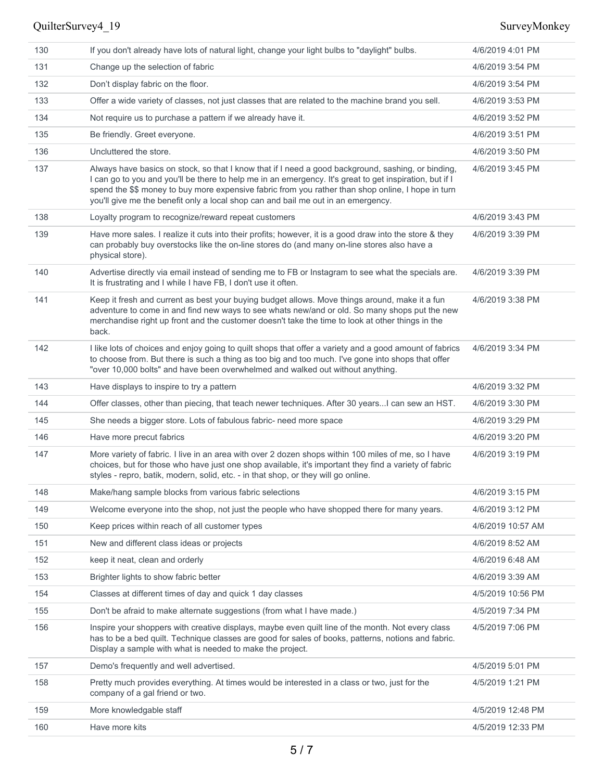| 130 | If you don't already have lots of natural light, change your light bulbs to "daylight" bulbs.                                                                                                                                                                                                                                                                                                            | 4/6/2019 4:01 PM  |
|-----|----------------------------------------------------------------------------------------------------------------------------------------------------------------------------------------------------------------------------------------------------------------------------------------------------------------------------------------------------------------------------------------------------------|-------------------|
| 131 | Change up the selection of fabric                                                                                                                                                                                                                                                                                                                                                                        | 4/6/2019 3:54 PM  |
| 132 | Don't display fabric on the floor.                                                                                                                                                                                                                                                                                                                                                                       | 4/6/2019 3:54 PM  |
| 133 | Offer a wide variety of classes, not just classes that are related to the machine brand you sell.                                                                                                                                                                                                                                                                                                        | 4/6/2019 3:53 PM  |
| 134 | Not require us to purchase a pattern if we already have it.                                                                                                                                                                                                                                                                                                                                              | 4/6/2019 3:52 PM  |
| 135 | Be friendly. Greet everyone.                                                                                                                                                                                                                                                                                                                                                                             | 4/6/2019 3:51 PM  |
| 136 | Uncluttered the store.                                                                                                                                                                                                                                                                                                                                                                                   | 4/6/2019 3:50 PM  |
| 137 | Always have basics on stock, so that I know that if I need a good background, sashing, or binding,<br>I can go to you and you'll be there to help me in an emergency. It's great to get inspiration, but if I<br>spend the \$\$ money to buy more expensive fabric from you rather than shop online, I hope in turn<br>you'll give me the benefit only a local shop can and bail me out in an emergency. | 4/6/2019 3:45 PM  |
| 138 | Loyalty program to recognize/reward repeat customers                                                                                                                                                                                                                                                                                                                                                     | 4/6/2019 3:43 PM  |
| 139 | Have more sales. I realize it cuts into their profits; however, it is a good draw into the store & they<br>can probably buy overstocks like the on-line stores do (and many on-line stores also have a<br>physical store).                                                                                                                                                                               | 4/6/2019 3:39 PM  |
| 140 | Advertise directly via email instead of sending me to FB or Instagram to see what the specials are.<br>It is frustrating and I while I have FB, I don't use it often.                                                                                                                                                                                                                                    | 4/6/2019 3:39 PM  |
| 141 | Keep it fresh and current as best your buying budget allows. Move things around, make it a fun<br>adventure to come in and find new ways to see whats new/and or old. So many shops put the new<br>merchandise right up front and the customer doesn't take the time to look at other things in the<br>back.                                                                                             | 4/6/2019 3:38 PM  |
| 142 | I like lots of choices and enjoy going to quilt shops that offer a variety and a good amount of fabrics<br>to choose from. But there is such a thing as too big and too much. I've gone into shops that offer<br>"over 10,000 bolts" and have been overwhelmed and walked out without anything.                                                                                                          | 4/6/2019 3:34 PM  |
| 143 | Have displays to inspire to try a pattern                                                                                                                                                                                                                                                                                                                                                                | 4/6/2019 3:32 PM  |
| 144 | Offer classes, other than piecing, that teach newer techniques. After 30 years I can sew an HST.                                                                                                                                                                                                                                                                                                         | 4/6/2019 3:30 PM  |
| 145 | She needs a bigger store. Lots of fabulous fabric- need more space                                                                                                                                                                                                                                                                                                                                       | 4/6/2019 3:29 PM  |
| 146 | Have more precut fabrics                                                                                                                                                                                                                                                                                                                                                                                 | 4/6/2019 3:20 PM  |
| 147 | More variety of fabric. I live in an area with over 2 dozen shops within 100 miles of me, so I have<br>choices, but for those who have just one shop available, it's important they find a variety of fabric<br>styles - repro, batik, modern, solid, etc. - in that shop, or they will go online.                                                                                                       | 4/6/2019 3:19 PM  |
| 148 | Make/hang sample blocks from various fabric selections                                                                                                                                                                                                                                                                                                                                                   | 4/6/2019 3:15 PM  |
| 149 | Welcome everyone into the shop, not just the people who have shopped there for many years.                                                                                                                                                                                                                                                                                                               | 4/6/2019 3:12 PM  |
| 150 | Keep prices within reach of all customer types                                                                                                                                                                                                                                                                                                                                                           | 4/6/2019 10:57 AM |
| 151 | New and different class ideas or projects                                                                                                                                                                                                                                                                                                                                                                | 4/6/2019 8:52 AM  |
| 152 | keep it neat, clean and orderly                                                                                                                                                                                                                                                                                                                                                                          | 4/6/2019 6:48 AM  |
| 153 | Brighter lights to show fabric better                                                                                                                                                                                                                                                                                                                                                                    | 4/6/2019 3:39 AM  |
| 154 | Classes at different times of day and quick 1 day classes                                                                                                                                                                                                                                                                                                                                                | 4/5/2019 10:56 PM |
| 155 | Don't be afraid to make alternate suggestions (from what I have made.)                                                                                                                                                                                                                                                                                                                                   | 4/5/2019 7:34 PM  |
| 156 | Inspire your shoppers with creative displays, maybe even quilt line of the month. Not every class<br>has to be a bed quilt. Technique classes are good for sales of books, patterns, notions and fabric.<br>Display a sample with what is needed to make the project.                                                                                                                                    | 4/5/2019 7:06 PM  |
| 157 | Demo's frequently and well advertised.                                                                                                                                                                                                                                                                                                                                                                   | 4/5/2019 5:01 PM  |
| 158 | Pretty much provides everything. At times would be interested in a class or two, just for the<br>company of a gal friend or two.                                                                                                                                                                                                                                                                         | 4/5/2019 1:21 PM  |
| 159 | More knowledgable staff                                                                                                                                                                                                                                                                                                                                                                                  | 4/5/2019 12:48 PM |
| 160 | Have more kits                                                                                                                                                                                                                                                                                                                                                                                           | 4/5/2019 12:33 PM |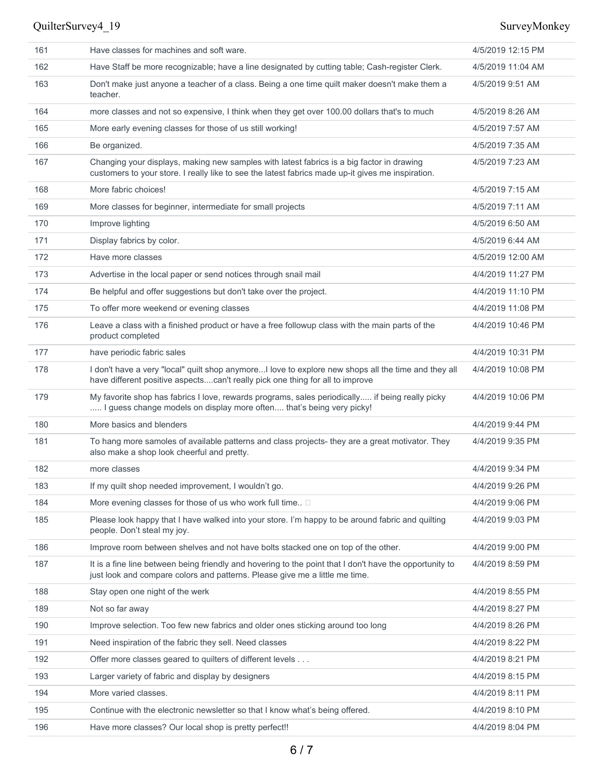| 161 | Have classes for machines and soft ware.                                                                                                                                                       | 4/5/2019 12:15 PM |
|-----|------------------------------------------------------------------------------------------------------------------------------------------------------------------------------------------------|-------------------|
| 162 | Have Staff be more recognizable; have a line designated by cutting table; Cash-register Clerk.                                                                                                 | 4/5/2019 11:04 AM |
| 163 | Don't make just anyone a teacher of a class. Being a one time quilt maker doesn't make them a<br>teacher.                                                                                      | 4/5/2019 9:51 AM  |
| 164 | more classes and not so expensive, I think when they get over 100.00 dollars that's to much                                                                                                    | 4/5/2019 8:26 AM  |
| 165 | More early evening classes for those of us still working!                                                                                                                                      | 4/5/2019 7:57 AM  |
| 166 | Be organized.                                                                                                                                                                                  | 4/5/2019 7:35 AM  |
| 167 | Changing your displays, making new samples with latest fabrics is a big factor in drawing<br>customers to your store. I really like to see the latest fabrics made up-it gives me inspiration. | 4/5/2019 7:23 AM  |
| 168 | More fabric choices!                                                                                                                                                                           | 4/5/2019 7:15 AM  |
| 169 | More classes for beginner, intermediate for small projects                                                                                                                                     | 4/5/2019 7:11 AM  |
| 170 | Improve lighting                                                                                                                                                                               | 4/5/2019 6:50 AM  |
| 171 | Display fabrics by color.                                                                                                                                                                      | 4/5/2019 6:44 AM  |
| 172 | Have more classes                                                                                                                                                                              | 4/5/2019 12:00 AM |
| 173 | Advertise in the local paper or send notices through snail mail                                                                                                                                | 4/4/2019 11:27 PM |
| 174 | Be helpful and offer suggestions but don't take over the project.                                                                                                                              | 4/4/2019 11:10 PM |
| 175 | To offer more weekend or evening classes                                                                                                                                                       | 4/4/2019 11:08 PM |
| 176 | Leave a class with a finished product or have a free followup class with the main parts of the<br>product completed                                                                            | 4/4/2019 10:46 PM |
| 177 | have periodic fabric sales                                                                                                                                                                     | 4/4/2019 10:31 PM |
| 178 | I don't have a very "local" quilt shop anymoreI love to explore new shops all the time and they all<br>have different positive aspectscan't really pick one thing for all to improve           | 4/4/2019 10:08 PM |
| 179 | My favorite shop has fabrics I love, rewards programs, sales periodically if being really picky<br>I guess change models on display more often that's being very picky!                        | 4/4/2019 10:06 PM |
| 180 | More basics and blenders                                                                                                                                                                       | 4/4/2019 9:44 PM  |
| 181 | To hang more samoles of available patterns and class projects- they are a great motivator. They<br>also make a shop look cheerful and pretty.                                                  | 4/4/2019 9:35 PM  |
| 182 | more classes                                                                                                                                                                                   | 4/4/2019 9:34 PM  |
| 183 | If my quilt shop needed improvement, I wouldn't go.                                                                                                                                            | 4/4/2019 9:26 PM  |
| 184 | More evening classes for those of us who work full time $\square$                                                                                                                              | 4/4/2019 9:06 PM  |
| 185 | Please look happy that I have walked into your store. I'm happy to be around fabric and quilting<br>people. Don't steal my joy.                                                                | 4/4/2019 9:03 PM  |
| 186 | Improve room between shelves and not have bolts stacked one on top of the other.                                                                                                               | 4/4/2019 9:00 PM  |
| 187 | It is a fine line between being friendly and hovering to the point that I don't have the opportunity to<br>just look and compare colors and patterns. Please give me a little me time.         | 4/4/2019 8:59 PM  |
| 188 | Stay open one night of the werk                                                                                                                                                                | 4/4/2019 8:55 PM  |
| 189 | Not so far away                                                                                                                                                                                | 4/4/2019 8:27 PM  |
| 190 | Improve selection. Too few new fabrics and older ones sticking around too long                                                                                                                 | 4/4/2019 8:26 PM  |
| 191 | Need inspiration of the fabric they sell. Need classes                                                                                                                                         | 4/4/2019 8:22 PM  |
| 192 | Offer more classes geared to quilters of different levels                                                                                                                                      | 4/4/2019 8:21 PM  |
| 193 | Larger variety of fabric and display by designers                                                                                                                                              | 4/4/2019 8:15 PM  |
| 194 | More varied classes.                                                                                                                                                                           | 4/4/2019 8:11 PM  |
| 195 | Continue with the electronic newsletter so that I know what's being offered.                                                                                                                   | 4/4/2019 8:10 PM  |
| 196 | Have more classes? Our local shop is pretty perfect!!                                                                                                                                          | 4/4/2019 8:04 PM  |